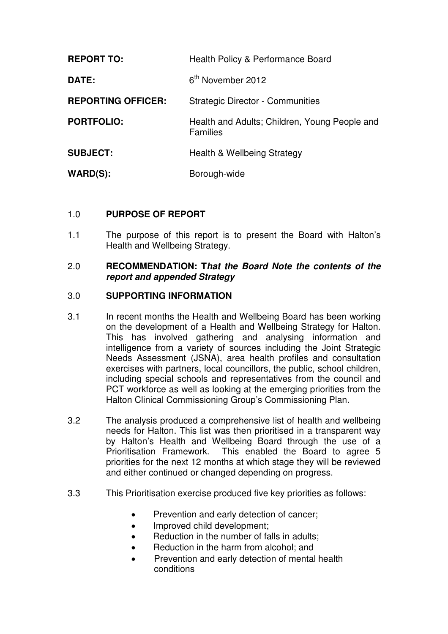| <b>REPORT TO:</b>         | Health Policy & Performance Board                                |
|---------------------------|------------------------------------------------------------------|
| <b>DATE:</b>              | 6 <sup>th</sup> November 2012                                    |
| <b>REPORTING OFFICER:</b> | <b>Strategic Director - Communities</b>                          |
| <b>PORTFOLIO:</b>         | Health and Adults; Children, Young People and<br><b>Families</b> |
| <b>SUBJECT:</b>           | <b>Health &amp; Wellbeing Strategy</b>                           |
| $WARD(S)$ :               | Borough-wide                                                     |

## 1.0 **PURPOSE OF REPORT**

1.1 The purpose of this report is to present the Board with Halton's Health and Wellbeing Strategy.

### 2.0 **RECOMMENDATION: That the Board Note the contents of the report and appended Strategy**

## 3.0 **SUPPORTING INFORMATION**

- 3.1 In recent months the Health and Wellbeing Board has been working on the development of a Health and Wellbeing Strategy for Halton. This has involved gathering and analysing information and intelligence from a variety of sources including the Joint Strategic Needs Assessment (JSNA), area health profiles and consultation exercises with partners, local councillors, the public, school children, including special schools and representatives from the council and PCT workforce as well as looking at the emerging priorities from the Halton Clinical Commissioning Group's Commissioning Plan.
- 3.2 The analysis produced a comprehensive list of health and wellbeing needs for Halton. This list was then prioritised in a transparent way by Halton's Health and Wellbeing Board through the use of a Prioritisation Framework. This enabled the Board to agree 5 priorities for the next 12 months at which stage they will be reviewed and either continued or changed depending on progress.
- 3.3 This Prioritisation exercise produced five key priorities as follows:
	- Prevention and early detection of cancer;
	- Improved child development;
	- Reduction in the number of falls in adults:
	- Reduction in the harm from alcohol; and
	- Prevention and early detection of mental health conditions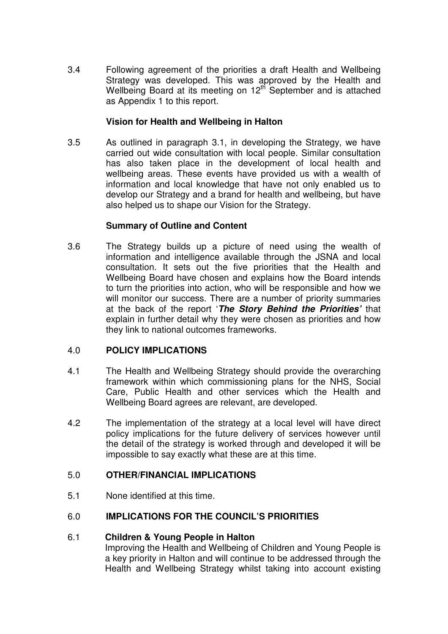3.4 Following agreement of the priorities a draft Health and Wellbeing Strategy was developed. This was approved by the Health and Wellbeing Board at its meeting on 12<sup>th</sup> September and is attached as Appendix 1 to this report.

## **Vision for Health and Wellbeing in Halton**

3.5 As outlined in paragraph 3.1, in developing the Strategy, we have carried out wide consultation with local people. Similar consultation has also taken place in the development of local health and wellbeing areas. These events have provided us with a wealth of information and local knowledge that have not only enabled us to develop our Strategy and a brand for health and wellbeing, but have also helped us to shape our Vision for the Strategy.

## **Summary of Outline and Content**

3.6 The Strategy builds up a picture of need using the wealth of information and intelligence available through the JSNA and local consultation. It sets out the five priorities that the Health and Wellbeing Board have chosen and explains how the Board intends to turn the priorities into action, who will be responsible and how we will monitor our success. There are a number of priority summaries at the back of the report '**The Story Behind the Priorities'** that explain in further detail why they were chosen as priorities and how they link to national outcomes frameworks.

# 4.0 **POLICY IMPLICATIONS**

- 4.1 The Health and Wellbeing Strategy should provide the overarching framework within which commissioning plans for the NHS, Social Care, Public Health and other services which the Health and Wellbeing Board agrees are relevant, are developed.
- 4.2 The implementation of the strategy at a local level will have direct policy implications for the future delivery of services however until the detail of the strategy is worked through and developed it will be impossible to say exactly what these are at this time.

# 5.0 **OTHER/FINANCIAL IMPLICATIONS**

5.1 None identified at this time.

# 6.0 **IMPLICATIONS FOR THE COUNCIL'S PRIORITIES**

#### 6.1 **Children & Young People in Halton**

Improving the Health and Wellbeing of Children and Young People is a key priority in Halton and will continue to be addressed through the Health and Wellbeing Strategy whilst taking into account existing